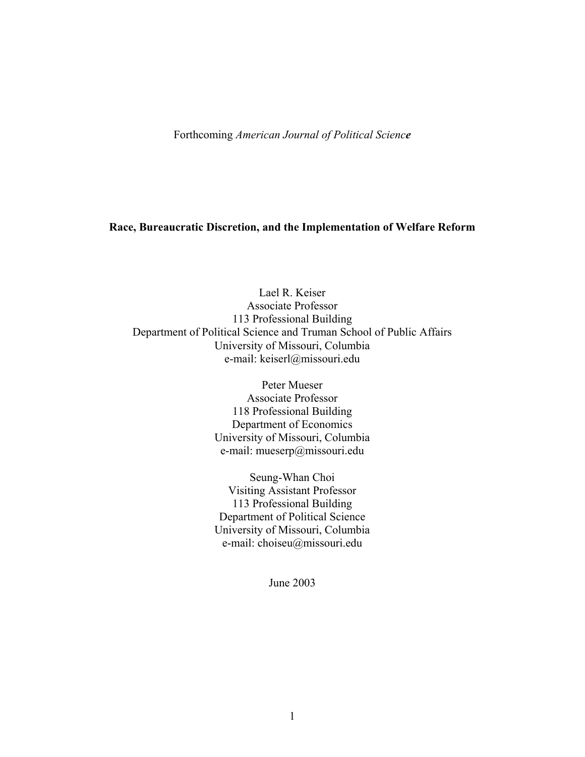### **Race, Bureaucratic Discretion, and the Implementation of Welfare Reform**

Lael R. Keiser Associate Professor 113 Professional Building Department of Political Science and Truman School of Public Affairs University of Missouri, Columbia e-mail: keiserl@missouri.edu

> Peter Mueser Associate Professor 118 Professional Building Department of Economics University of Missouri, Columbia e-mail: mueserp@missouri.edu

> Seung-Whan Choi Visiting Assistant Professor 113 Professional Building Department of Political Science University of Missouri, Columbia e-mail: choiseu@missouri.edu

> > June 2003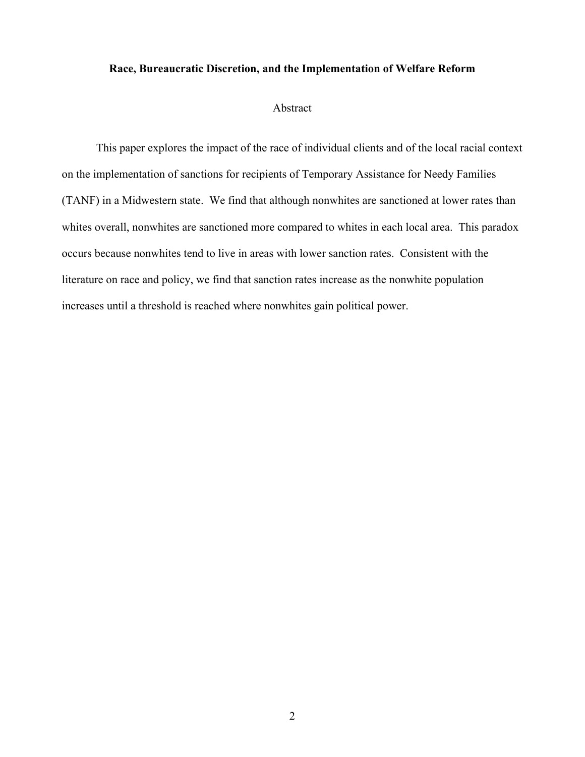### **Race, Bureaucratic Discretion, and the Implementation of Welfare Reform**

### Abstract

This paper explores the impact of the race of individual clients and of the local racial context on the implementation of sanctions for recipients of Temporary Assistance for Needy Families (TANF) in a Midwestern state. We find that although nonwhites are sanctioned at lower rates than whites overall, nonwhites are sanctioned more compared to whites in each local area. This paradox occurs because nonwhites tend to live in areas with lower sanction rates. Consistent with the literature on race and policy, we find that sanction rates increase as the nonwhite population increases until a threshold is reached where nonwhites gain political power.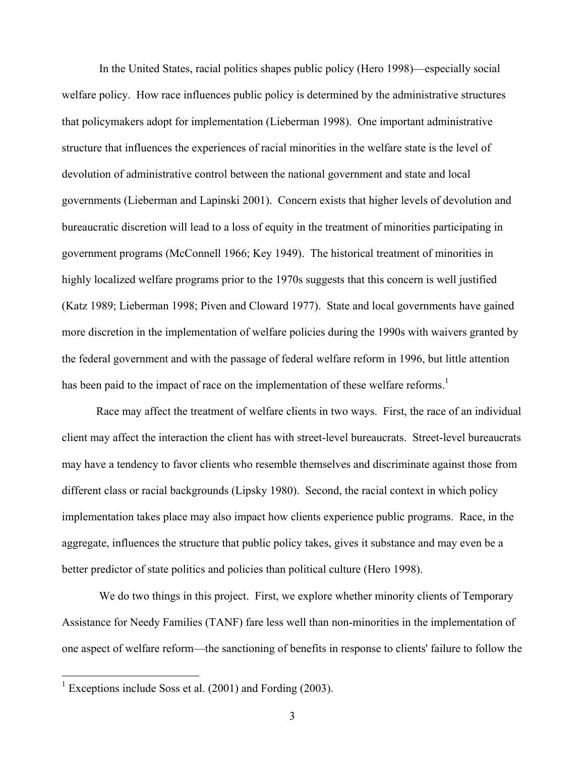In the United States, racial politics shapes public policy (Hero 1998)—especially social welfare policy. How race influences public policy is determined by the administrative structures that policymakers adopt for implementation (Lieberman 1998). One important administrative structure that influences the experiences of racial minorities in the welfare state is the level of devolution of administrative control between the national government and state and local governments (Lieberman and Lapinski 2001). Concern exists that higher levels of devolution and bureaucratic discretion will lead to a loss of equity in the treatment of minorities participating in government programs (McConnell 1966; Key 1949). The historical treatment of minorities in highly localized welfare programs prior to the 1970s suggests that this concern is well justified (Katz 1989; Lieberman 1998; Piven and Cloward 1977). State and local governments have gained more discretion in the implementation of welfare policies during the 1990s with waivers granted by the federal government and with the passage of federal welfare reform in 1996, but little attention has been paid to the impact of race on the implementation of these welfare reforms.<sup>1</sup>

Race may affect the treatment of welfare clients in two ways. First, the race of an individual client may affect the interaction the client has with street-level bureaucrats. Street-level bureaucrats may have a tendency to favor clients who resemble themselves and discriminate against those from different class or racial backgrounds (Lipsky 1980). Second, the racial context in which policy implementation takes place may also impact how clients experience public programs. Race, in the aggregate, influences the structure that public policy takes, gives it substance and may even be a better predictor of state politics and policies than political culture (Hero 1998).

We do two things in this project. First, we explore whether minority clients of Temporary Assistance for Needy Families (TANF) fare less well than non-minorities in the implementation of one aspect of welfare reform—the sanctioning of benefits in response to clients' failure to follow the

 $\overline{a}$ 

<sup>&</sup>lt;sup>1</sup> Exceptions include Soss et al. (2001) and Fording (2003).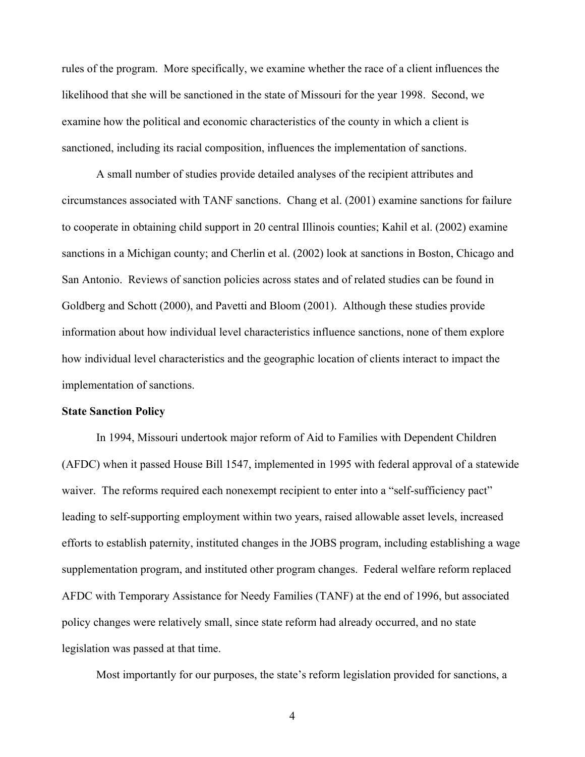rules of the program. More specifically, we examine whether the race of a client influences the likelihood that she will be sanctioned in the state of Missouri for the year 1998. Second, we examine how the political and economic characteristics of the county in which a client is sanctioned, including its racial composition, influences the implementation of sanctions.

 A small number of studies provide detailed analyses of the recipient attributes and circumstances associated with TANF sanctions. Chang et al. (2001) examine sanctions for failure to cooperate in obtaining child support in 20 central Illinois counties; Kahil et al. (2002) examine sanctions in a Michigan county; and Cherlin et al. (2002) look at sanctions in Boston, Chicago and San Antonio. Reviews of sanction policies across states and of related studies can be found in Goldberg and Schott (2000), and Pavetti and Bloom (2001). Although these studies provide information about how individual level characteristics influence sanctions, none of them explore how individual level characteristics and the geographic location of clients interact to impact the implementation of sanctions.

#### **State Sanction Policy**

In 1994, Missouri undertook major reform of Aid to Families with Dependent Children (AFDC) when it passed House Bill 1547, implemented in 1995 with federal approval of a statewide waiver. The reforms required each nonexempt recipient to enter into a "self-sufficiency pact" leading to self-supporting employment within two years, raised allowable asset levels, increased efforts to establish paternity, instituted changes in the JOBS program, including establishing a wage supplementation program, and instituted other program changes. Federal welfare reform replaced AFDC with Temporary Assistance for Needy Families (TANF) at the end of 1996, but associated policy changes were relatively small, since state reform had already occurred, and no state legislation was passed at that time.

Most importantly for our purposes, the state's reform legislation provided for sanctions, a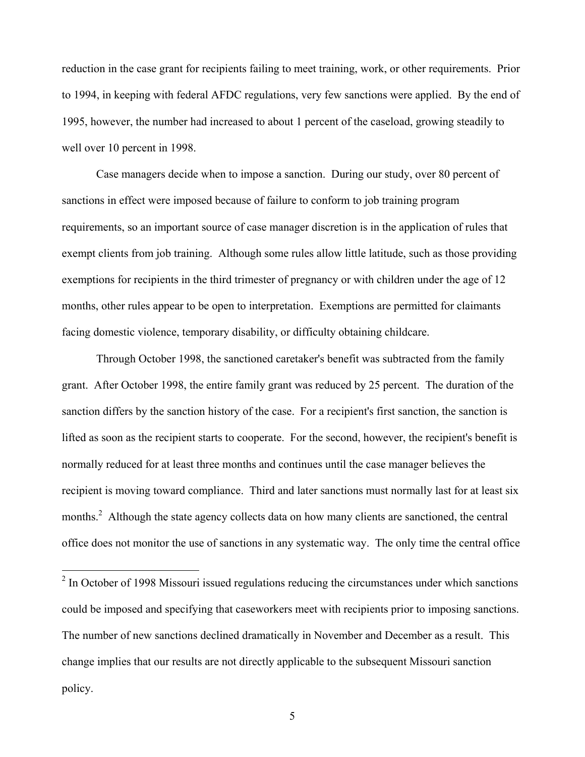reduction in the case grant for recipients failing to meet training, work, or other requirements. Prior to 1994, in keeping with federal AFDC regulations, very few sanctions were applied. By the end of 1995, however, the number had increased to about 1 percent of the caseload, growing steadily to well over 10 percent in 1998.

Case managers decide when to impose a sanction. During our study, over 80 percent of sanctions in effect were imposed because of failure to conform to job training program requirements, so an important source of case manager discretion is in the application of rules that exempt clients from job training. Although some rules allow little latitude, such as those providing exemptions for recipients in the third trimester of pregnancy or with children under the age of 12 months, other rules appear to be open to interpretation. Exemptions are permitted for claimants facing domestic violence, temporary disability, or difficulty obtaining childcare.

Through October 1998, the sanctioned caretaker's benefit was subtracted from the family grant. After October 1998, the entire family grant was reduced by 25 percent. The duration of the sanction differs by the sanction history of the case. For a recipient's first sanction, the sanction is lifted as soon as the recipient starts to cooperate. For the second, however, the recipient's benefit is normally reduced for at least three months and continues until the case manager believes the recipient is moving toward compliance. Third and later sanctions must normally last for at least six months.<sup>2</sup> Although the state agency collects data on how many clients are sanctioned, the central office does not monitor the use of sanctions in any systematic way. The only time the central office

<sup>&</sup>lt;sup>2</sup> In October of 1998 Missouri issued regulations reducing the circumstances under which sanctions could be imposed and specifying that caseworkers meet with recipients prior to imposing sanctions. The number of new sanctions declined dramatically in November and December as a result. This change implies that our results are not directly applicable to the subsequent Missouri sanction policy.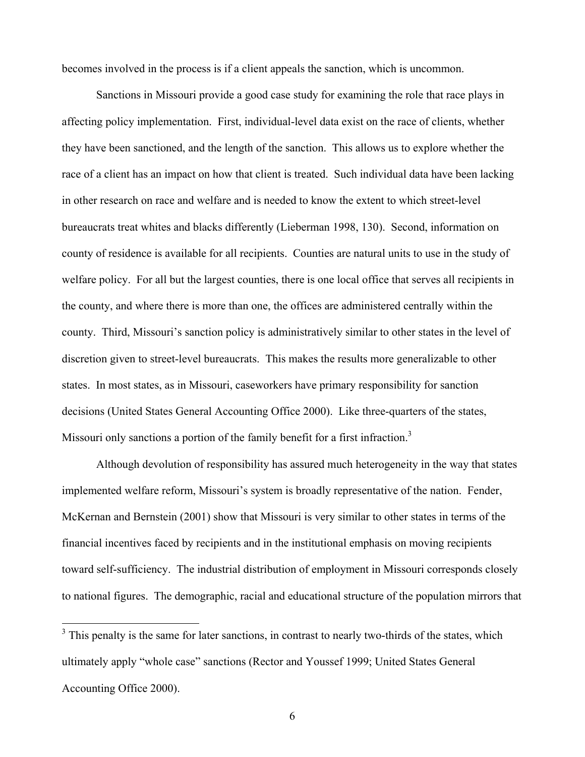becomes involved in the process is if a client appeals the sanction, which is uncommon.

Sanctions in Missouri provide a good case study for examining the role that race plays in affecting policy implementation. First, individual-level data exist on the race of clients, whether they have been sanctioned, and the length of the sanction. This allows us to explore whether the race of a client has an impact on how that client is treated. Such individual data have been lacking in other research on race and welfare and is needed to know the extent to which street-level bureaucrats treat whites and blacks differently (Lieberman 1998, 130). Second, information on county of residence is available for all recipients. Counties are natural units to use in the study of welfare policy. For all but the largest counties, there is one local office that serves all recipients in the county, and where there is more than one, the offices are administered centrally within the county. Third, Missouri's sanction policy is administratively similar to other states in the level of discretion given to street-level bureaucrats. This makes the results more generalizable to other states. In most states, as in Missouri, caseworkers have primary responsibility for sanction decisions (United States General Accounting Office 2000). Like three-quarters of the states, Missouri only sanctions a portion of the family benefit for a first infraction.<sup>3</sup>

Although devolution of responsibility has assured much heterogeneity in the way that states implemented welfare reform, Missouri's system is broadly representative of the nation. Fender, McKernan and Bernstein (2001) show that Missouri is very similar to other states in terms of the financial incentives faced by recipients and in the institutional emphasis on moving recipients toward self-sufficiency. The industrial distribution of employment in Missouri corresponds closely to national figures. The demographic, racial and educational structure of the population mirrors that

 $\overline{a}$ 

<sup>&</sup>lt;sup>3</sup> This penalty is the same for later sanctions, in contrast to nearly two-thirds of the states, which ultimately apply "whole case" sanctions (Rector and Youssef 1999; United States General Accounting Office 2000).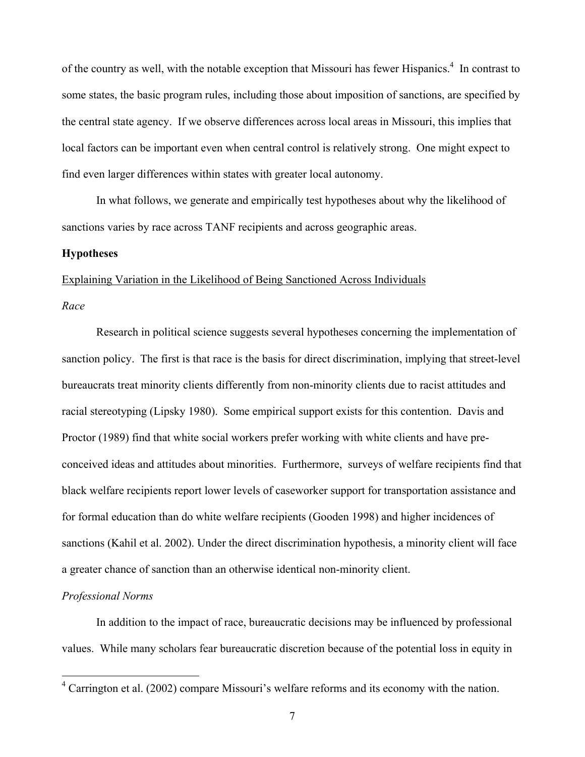of the country as well, with the notable exception that Missouri has fewer Hispanics.<sup>4</sup> In contrast to some states, the basic program rules, including those about imposition of sanctions, are specified by the central state agency. If we observe differences across local areas in Missouri, this implies that local factors can be important even when central control is relatively strong. One might expect to find even larger differences within states with greater local autonomy.

In what follows, we generate and empirically test hypotheses about why the likelihood of sanctions varies by race across TANF recipients and across geographic areas.

### **Hypotheses**

### Explaining Variation in the Likelihood of Being Sanctioned Across Individuals

#### *Race*

Research in political science suggests several hypotheses concerning the implementation of sanction policy. The first is that race is the basis for direct discrimination, implying that street-level bureaucrats treat minority clients differently from non-minority clients due to racist attitudes and racial stereotyping (Lipsky 1980). Some empirical support exists for this contention. Davis and Proctor (1989) find that white social workers prefer working with white clients and have preconceived ideas and attitudes about minorities. Furthermore, surveys of welfare recipients find that black welfare recipients report lower levels of caseworker support for transportation assistance and for formal education than do white welfare recipients (Gooden 1998) and higher incidences of sanctions (Kahil et al. 2002). Under the direct discrimination hypothesis, a minority client will face a greater chance of sanction than an otherwise identical non-minority client.

# *Professional Norms*

 In addition to the impact of race, bureaucratic decisions may be influenced by professional values. While many scholars fear bureaucratic discretion because of the potential loss in equity in

<sup>&</sup>lt;sup>4</sup> Carrington et al. (2002) compare Missouri's welfare reforms and its economy with the nation.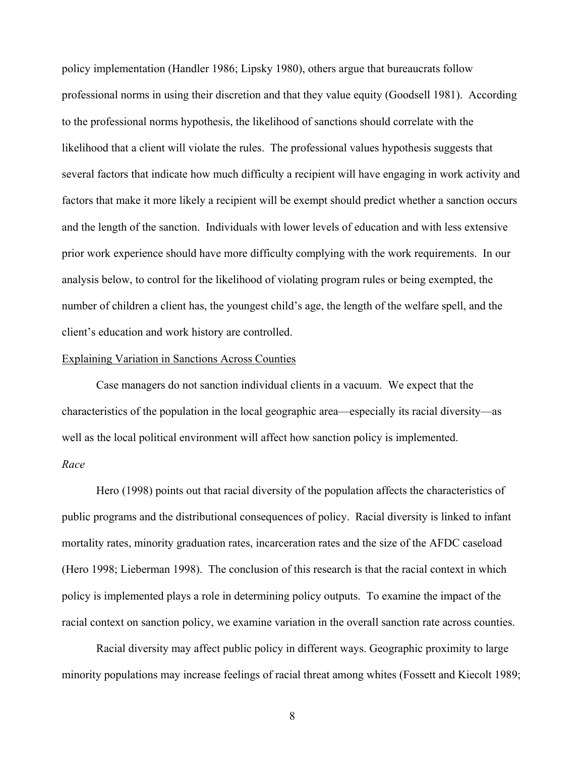policy implementation (Handler 1986; Lipsky 1980), others argue that bureaucrats follow professional norms in using their discretion and that they value equity (Goodsell 1981). According to the professional norms hypothesis, the likelihood of sanctions should correlate with the likelihood that a client will violate the rules. The professional values hypothesis suggests that several factors that indicate how much difficulty a recipient will have engaging in work activity and factors that make it more likely a recipient will be exempt should predict whether a sanction occurs and the length of the sanction. Individuals with lower levels of education and with less extensive prior work experience should have more difficulty complying with the work requirements. In our analysis below, to control for the likelihood of violating program rules or being exempted, the number of children a client has, the youngest child's age, the length of the welfare spell, and the client's education and work history are controlled.

### Explaining Variation in Sanctions Across Counties

Case managers do not sanction individual clients in a vacuum. We expect that the characteristics of the population in the local geographic area—especially its racial diversity—as well as the local political environment will affect how sanction policy is implemented. *Race* 

Hero (1998) points out that racial diversity of the population affects the characteristics of public programs and the distributional consequences of policy. Racial diversity is linked to infant mortality rates, minority graduation rates, incarceration rates and the size of the AFDC caseload (Hero 1998; Lieberman 1998). The conclusion of this research is that the racial context in which policy is implemented plays a role in determining policy outputs. To examine the impact of the racial context on sanction policy, we examine variation in the overall sanction rate across counties.

Racial diversity may affect public policy in different ways. Geographic proximity to large minority populations may increase feelings of racial threat among whites (Fossett and Kiecolt 1989;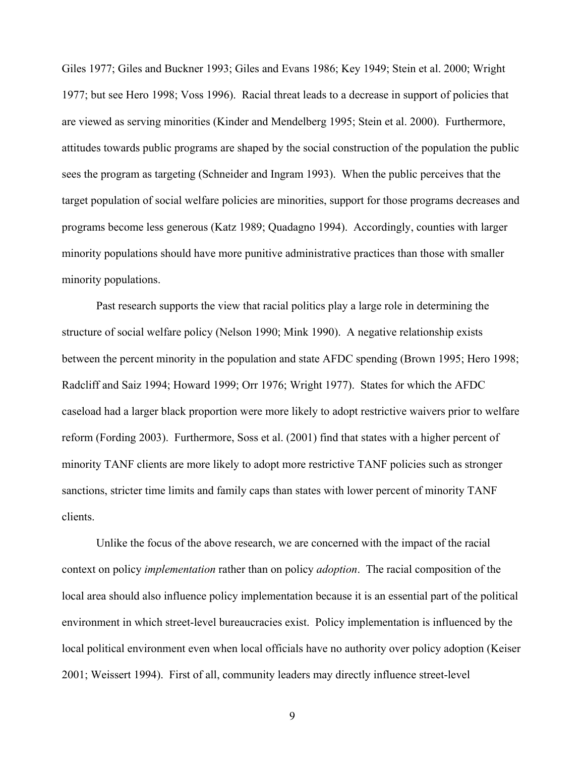Giles 1977; Giles and Buckner 1993; Giles and Evans 1986; Key 1949; Stein et al. 2000; Wright 1977; but see Hero 1998; Voss 1996). Racial threat leads to a decrease in support of policies that are viewed as serving minorities (Kinder and Mendelberg 1995; Stein et al. 2000). Furthermore, attitudes towards public programs are shaped by the social construction of the population the public sees the program as targeting (Schneider and Ingram 1993). When the public perceives that the target population of social welfare policies are minorities, support for those programs decreases and programs become less generous (Katz 1989; Quadagno 1994). Accordingly, counties with larger minority populations should have more punitive administrative practices than those with smaller minority populations.

 Past research supports the view that racial politics play a large role in determining the structure of social welfare policy (Nelson 1990; Mink 1990). A negative relationship exists between the percent minority in the population and state AFDC spending (Brown 1995; Hero 1998; Radcliff and Saiz 1994; Howard 1999; Orr 1976; Wright 1977). States for which the AFDC caseload had a larger black proportion were more likely to adopt restrictive waivers prior to welfare reform (Fording 2003). Furthermore, Soss et al. (2001) find that states with a higher percent of minority TANF clients are more likely to adopt more restrictive TANF policies such as stronger sanctions, stricter time limits and family caps than states with lower percent of minority TANF clients.

 Unlike the focus of the above research, we are concerned with the impact of the racial context on policy *implementation* rather than on policy *adoption*. The racial composition of the local area should also influence policy implementation because it is an essential part of the political environment in which street-level bureaucracies exist. Policy implementation is influenced by the local political environment even when local officials have no authority over policy adoption (Keiser 2001; Weissert 1994). First of all, community leaders may directly influence street-level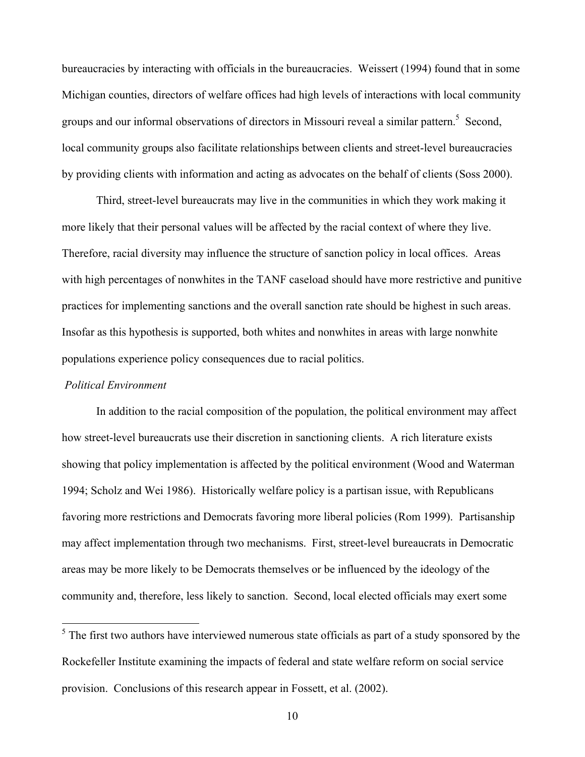bureaucracies by interacting with officials in the bureaucracies. Weissert (1994) found that in some Michigan counties, directors of welfare offices had high levels of interactions with local community groups and our informal observations of directors in Missouri reveal a similar pattern.<sup>5</sup> Second, local community groups also facilitate relationships between clients and street-level bureaucracies by providing clients with information and acting as advocates on the behalf of clients (Soss 2000).

Third, street-level bureaucrats may live in the communities in which they work making it more likely that their personal values will be affected by the racial context of where they live. Therefore, racial diversity may influence the structure of sanction policy in local offices. Areas with high percentages of nonwhites in the TANF caseload should have more restrictive and punitive practices for implementing sanctions and the overall sanction rate should be highest in such areas. Insofar as this hypothesis is supported, both whites and nonwhites in areas with large nonwhite populations experience policy consequences due to racial politics.

### *Political Environment*

 $\overline{a}$ 

 In addition to the racial composition of the population, the political environment may affect how street-level bureaucrats use their discretion in sanctioning clients. A rich literature exists showing that policy implementation is affected by the political environment (Wood and Waterman 1994; Scholz and Wei 1986). Historically welfare policy is a partisan issue, with Republicans favoring more restrictions and Democrats favoring more liberal policies (Rom 1999). Partisanship may affect implementation through two mechanisms. First, street-level bureaucrats in Democratic areas may be more likely to be Democrats themselves or be influenced by the ideology of the community and, therefore, less likely to sanction. Second, local elected officials may exert some

 $<sup>5</sup>$  The first two authors have interviewed numerous state officials as part of a study sponsored by the</sup> Rockefeller Institute examining the impacts of federal and state welfare reform on social service provision. Conclusions of this research appear in Fossett, et al. (2002).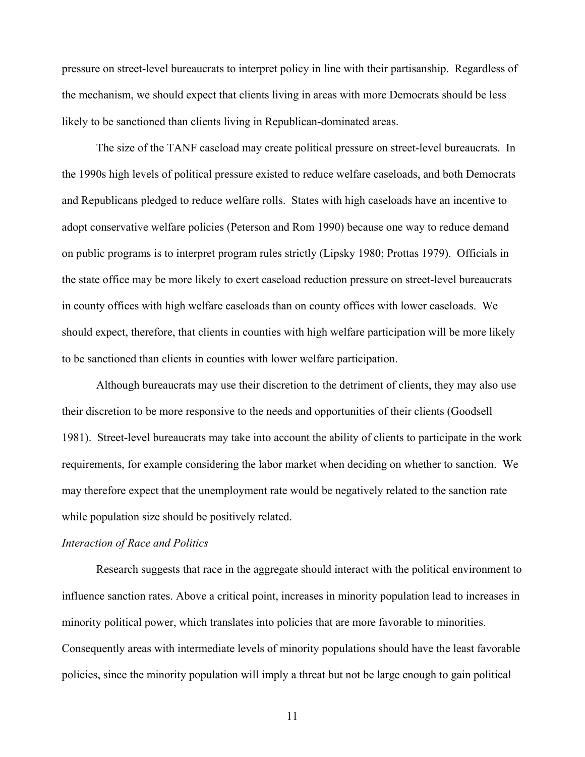pressure on street-level bureaucrats to interpret policy in line with their partisanship. Regardless of the mechanism, we should expect that clients living in areas with more Democrats should be less likely to be sanctioned than clients living in Republican-dominated areas.

 The size of the TANF caseload may create political pressure on street-level bureaucrats. In the 1990s high levels of political pressure existed to reduce welfare caseloads, and both Democrats and Republicans pledged to reduce welfare rolls. States with high caseloads have an incentive to adopt conservative welfare policies (Peterson and Rom 1990) because one way to reduce demand on public programs is to interpret program rules strictly (Lipsky 1980; Prottas 1979). Officials in the state office may be more likely to exert caseload reduction pressure on street-level bureaucrats in county offices with high welfare caseloads than on county offices with lower caseloads. We should expect, therefore, that clients in counties with high welfare participation will be more likely to be sanctioned than clients in counties with lower welfare participation.

Although bureaucrats may use their discretion to the detriment of clients, they may also use their discretion to be more responsive to the needs and opportunities of their clients (Goodsell 1981). Street-level bureaucrats may take into account the ability of clients to participate in the work requirements, for example considering the labor market when deciding on whether to sanction. We may therefore expect that the unemployment rate would be negatively related to the sanction rate while population size should be positively related.

#### *Interaction of Race and Politics*

 Research suggests that race in the aggregate should interact with the political environment to influence sanction rates. Above a critical point, increases in minority population lead to increases in minority political power, which translates into policies that are more favorable to minorities. Consequently areas with intermediate levels of minority populations should have the least favorable policies, since the minority population will imply a threat but not be large enough to gain political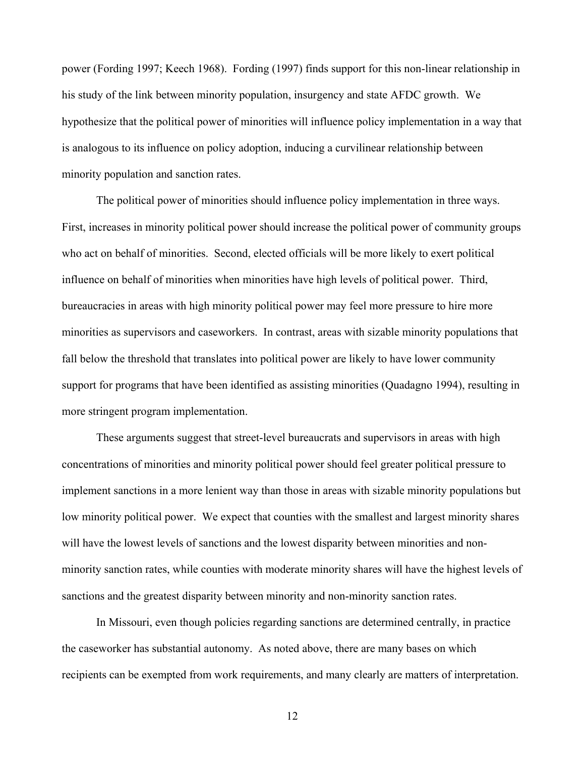power (Fording 1997; Keech 1968). Fording (1997) finds support for this non-linear relationship in his study of the link between minority population, insurgency and state AFDC growth. We hypothesize that the political power of minorities will influence policy implementation in a way that is analogous to its influence on policy adoption, inducing a curvilinear relationship between minority population and sanction rates.

The political power of minorities should influence policy implementation in three ways. First, increases in minority political power should increase the political power of community groups who act on behalf of minorities. Second, elected officials will be more likely to exert political influence on behalf of minorities when minorities have high levels of political power. Third, bureaucracies in areas with high minority political power may feel more pressure to hire more minorities as supervisors and caseworkers. In contrast, areas with sizable minority populations that fall below the threshold that translates into political power are likely to have lower community support for programs that have been identified as assisting minorities (Quadagno 1994), resulting in more stringent program implementation.

These arguments suggest that street-level bureaucrats and supervisors in areas with high concentrations of minorities and minority political power should feel greater political pressure to implement sanctions in a more lenient way than those in areas with sizable minority populations but low minority political power. We expect that counties with the smallest and largest minority shares will have the lowest levels of sanctions and the lowest disparity between minorities and nonminority sanction rates, while counties with moderate minority shares will have the highest levels of sanctions and the greatest disparity between minority and non-minority sanction rates.

In Missouri, even though policies regarding sanctions are determined centrally, in practice the caseworker has substantial autonomy. As noted above, there are many bases on which recipients can be exempted from work requirements, and many clearly are matters of interpretation.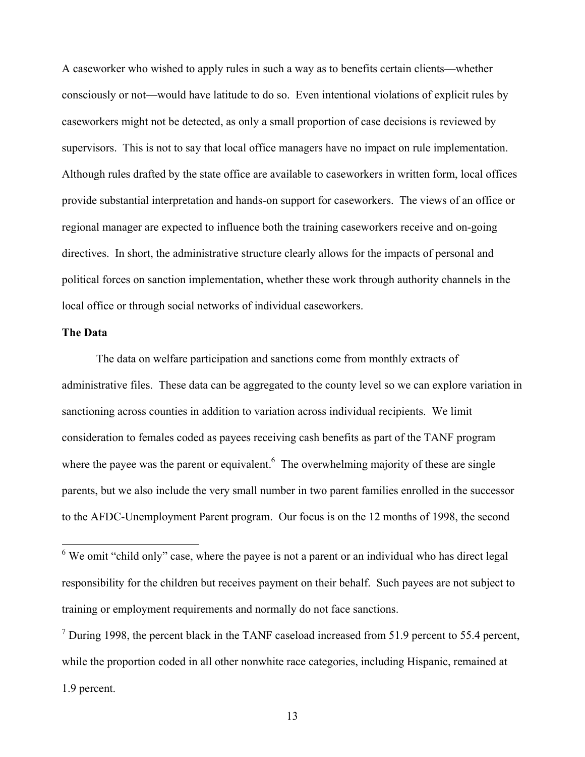A caseworker who wished to apply rules in such a way as to benefits certain clients—whether consciously or not—would have latitude to do so. Even intentional violations of explicit rules by caseworkers might not be detected, as only a small proportion of case decisions is reviewed by supervisors. This is not to say that local office managers have no impact on rule implementation. Although rules drafted by the state office are available to caseworkers in written form, local offices provide substantial interpretation and hands-on support for caseworkers. The views of an office or regional manager are expected to influence both the training caseworkers receive and on-going directives. In short, the administrative structure clearly allows for the impacts of personal and political forces on sanction implementation, whether these work through authority channels in the local office or through social networks of individual caseworkers.

### **The Data**

The data on welfare participation and sanctions come from monthly extracts of administrative files. These data can be aggregated to the county level so we can explore variation in sanctioning across counties in addition to variation across individual recipients. We limit consideration to females coded as payees receiving cash benefits as part of the TANF program where the payee was the parent or equivalent.<sup>6</sup> The overwhelming majority of these are single parents, but we also include the very small number in two parent families enrolled in the successor to the AFDC-Unemployment Parent program. Our focus is on the 12 months of 1998, the second

 $<sup>7</sup>$  During 1998, the percent black in the TANF caseload increased from 51.9 percent to 55.4 percent,</sup> while the proportion coded in all other nonwhite race categories, including Hispanic, remained at 1.9 percent.

<sup>&</sup>lt;sup>6</sup> We omit "child only" case, where the payee is not a parent or an individual who has direct legal responsibility for the children but receives payment on their behalf. Such payees are not subject to training or employment requirements and normally do not face sanctions.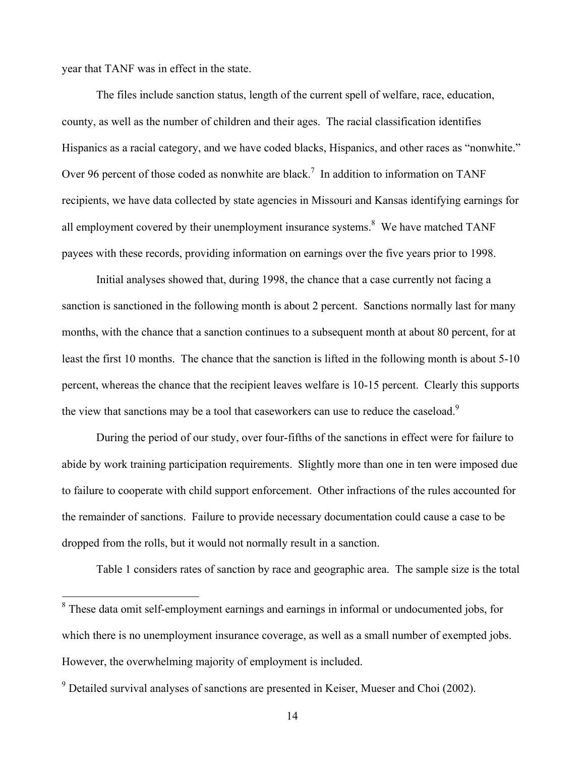year that TANF was in effect in the state.

The files include sanction status, length of the current spell of welfare, race, education, county, as well as the number of children and their ages. The racial classification identifies Hispanics as a racial category, and we have coded blacks, Hispanics, and other races as "nonwhite." Over 96 percent of those coded as nonwhite are black.<sup>7</sup> In addition to information on TANF recipients, we have data collected by state agencies in Missouri and Kansas identifying earnings for all employment covered by their unemployment insurance systems.<sup>8</sup> We have matched TANF payees with these records, providing information on earnings over the five years prior to 1998.

 Initial analyses showed that, during 1998, the chance that a case currently not facing a sanction is sanctioned in the following month is about 2 percent. Sanctions normally last for many months, with the chance that a sanction continues to a subsequent month at about 80 percent, for at least the first 10 months. The chance that the sanction is lifted in the following month is about 5-10 percent, whereas the chance that the recipient leaves welfare is 10-15 percent. Clearly this supports the view that sanctions may be a tool that caseworkers can use to reduce the caseload.<sup>9</sup>

 During the period of our study, over four-fifths of the sanctions in effect were for failure to abide by work training participation requirements. Slightly more than one in ten were imposed due to failure to cooperate with child support enforcement. Other infractions of the rules accounted for the remainder of sanctions. Failure to provide necessary documentation could cause a case to be dropped from the rolls, but it would not normally result in a sanction.

Table 1 considers rates of sanction by race and geographic area. The sample size is the total

<sup>&</sup>lt;sup>8</sup> These data omit self-employment earnings and earnings in informal or undocumented jobs, for which there is no unemployment insurance coverage, as well as a small number of exempted jobs. However, the overwhelming majority of employment is included.

 $9$  Detailed survival analyses of sanctions are presented in Keiser, Mueser and Choi (2002).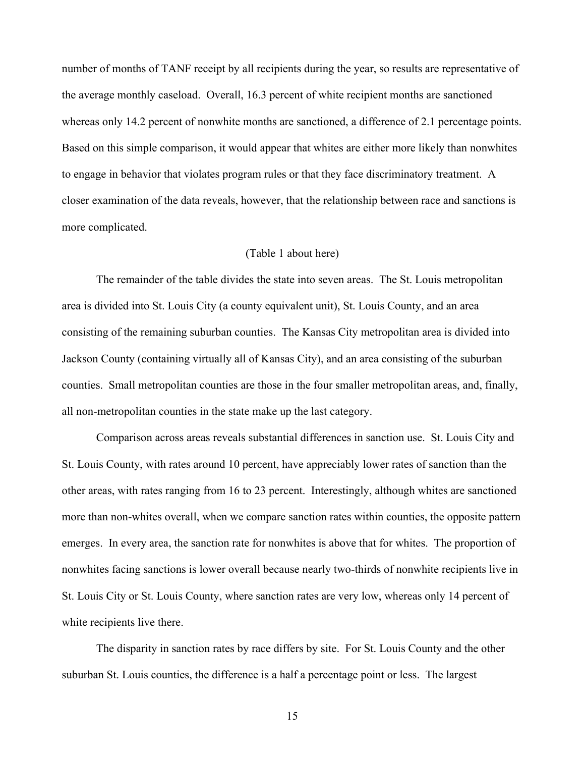number of months of TANF receipt by all recipients during the year, so results are representative of the average monthly caseload. Overall, 16.3 percent of white recipient months are sanctioned whereas only 14.2 percent of nonwhite months are sanctioned, a difference of 2.1 percentage points. Based on this simple comparison, it would appear that whites are either more likely than nonwhites to engage in behavior that violates program rules or that they face discriminatory treatment. A closer examination of the data reveals, however, that the relationship between race and sanctions is more complicated.

### (Table 1 about here)

 The remainder of the table divides the state into seven areas. The St. Louis metropolitan area is divided into St. Louis City (a county equivalent unit), St. Louis County, and an area consisting of the remaining suburban counties. The Kansas City metropolitan area is divided into Jackson County (containing virtually all of Kansas City), and an area consisting of the suburban counties. Small metropolitan counties are those in the four smaller metropolitan areas, and, finally, all non-metropolitan counties in the state make up the last category.

Comparison across areas reveals substantial differences in sanction use. St. Louis City and St. Louis County, with rates around 10 percent, have appreciably lower rates of sanction than the other areas, with rates ranging from 16 to 23 percent. Interestingly, although whites are sanctioned more than non-whites overall, when we compare sanction rates within counties, the opposite pattern emerges. In every area, the sanction rate for nonwhites is above that for whites. The proportion of nonwhites facing sanctions is lower overall because nearly two-thirds of nonwhite recipients live in St. Louis City or St. Louis County, where sanction rates are very low, whereas only 14 percent of white recipients live there.

The disparity in sanction rates by race differs by site. For St. Louis County and the other suburban St. Louis counties, the difference is a half a percentage point or less. The largest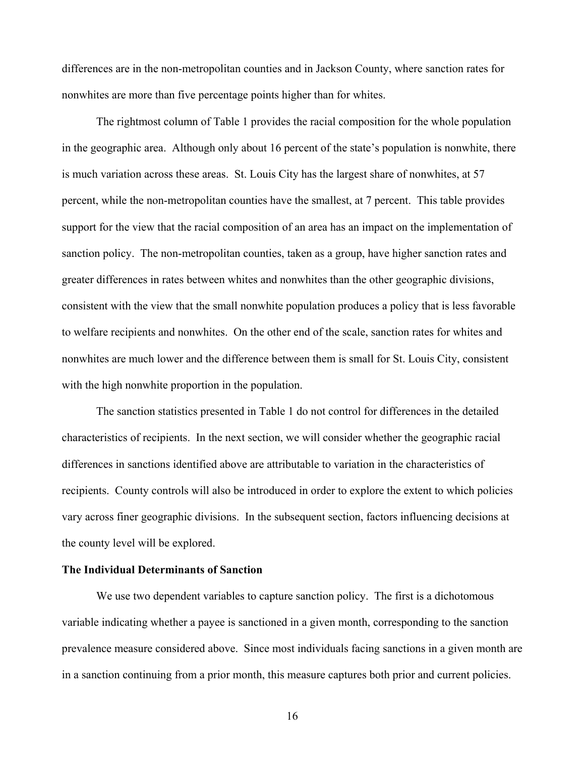differences are in the non-metropolitan counties and in Jackson County, where sanction rates for nonwhites are more than five percentage points higher than for whites.

 The rightmost column of Table 1 provides the racial composition for the whole population in the geographic area. Although only about 16 percent of the state's population is nonwhite, there is much variation across these areas. St. Louis City has the largest share of nonwhites, at 57 percent, while the non-metropolitan counties have the smallest, at 7 percent. This table provides support for the view that the racial composition of an area has an impact on the implementation of sanction policy. The non-metropolitan counties, taken as a group, have higher sanction rates and greater differences in rates between whites and nonwhites than the other geographic divisions, consistent with the view that the small nonwhite population produces a policy that is less favorable to welfare recipients and nonwhites. On the other end of the scale, sanction rates for whites and nonwhites are much lower and the difference between them is small for St. Louis City, consistent with the high nonwhite proportion in the population.

The sanction statistics presented in Table 1 do not control for differences in the detailed characteristics of recipients. In the next section, we will consider whether the geographic racial differences in sanctions identified above are attributable to variation in the characteristics of recipients. County controls will also be introduced in order to explore the extent to which policies vary across finer geographic divisions. In the subsequent section, factors influencing decisions at the county level will be explored.

# **The Individual Determinants of Sanction**

We use two dependent variables to capture sanction policy. The first is a dichotomous variable indicating whether a payee is sanctioned in a given month, corresponding to the sanction prevalence measure considered above. Since most individuals facing sanctions in a given month are in a sanction continuing from a prior month, this measure captures both prior and current policies.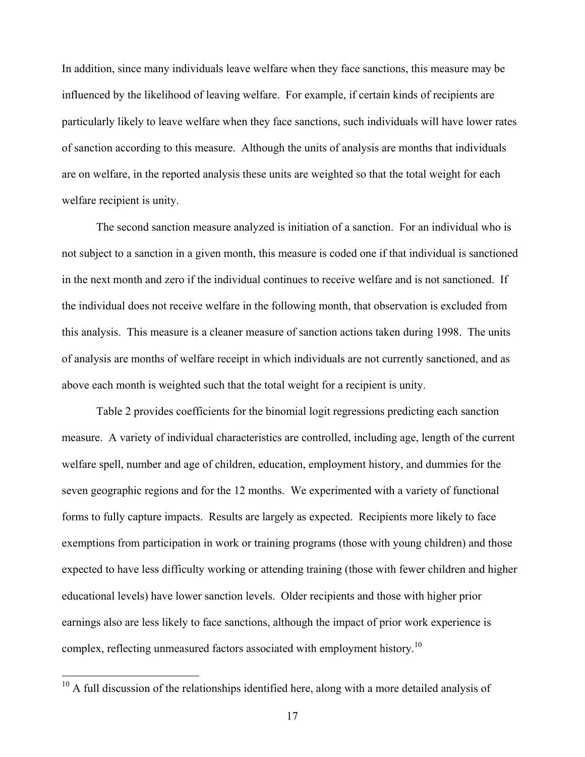In addition, since many individuals leave welfare when they face sanctions, this measure may be influenced by the likelihood of leaving welfare. For example, if certain kinds of recipients are particularly likely to leave welfare when they face sanctions, such individuals will have lower rates of sanction according to this measure. Although the units of analysis are months that individuals are on welfare, in the reported analysis these units are weighted so that the total weight for each welfare recipient is unity.

The second sanction measure analyzed is initiation of a sanction. For an individual who is not subject to a sanction in a given month, this measure is coded one if that individual is sanctioned in the next month and zero if the individual continues to receive welfare and is not sanctioned. If the individual does not receive welfare in the following month, that observation is excluded from this analysis. This measure is a cleaner measure of sanction actions taken during 1998. The units of analysis are months of welfare receipt in which individuals are not currently sanctioned, and as above each month is weighted such that the total weight for a recipient is unity.

Table 2 provides coefficients for the binomial logit regressions predicting each sanction measure. A variety of individual characteristics are controlled, including age, length of the current welfare spell, number and age of children, education, employment history, and dummies for the seven geographic regions and for the 12 months. We experimented with a variety of functional forms to fully capture impacts. Results are largely as expected. Recipients more likely to face exemptions from participation in work or training programs (those with young children) and those expected to have less difficulty working or attending training (those with fewer children and higher educational levels) have lower sanction levels. Older recipients and those with higher prior earnings also are less likely to face sanctions, although the impact of prior work experience is complex, reflecting unmeasured factors associated with employment history.<sup>10</sup>

 $\overline{a}$ 

 $10$  A full discussion of the relationships identified here, along with a more detailed analysis of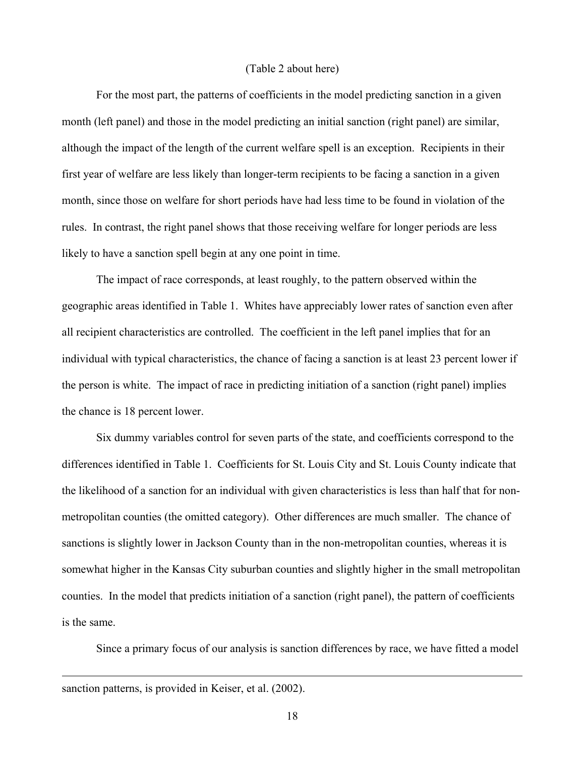### (Table 2 about here)

For the most part, the patterns of coefficients in the model predicting sanction in a given month (left panel) and those in the model predicting an initial sanction (right panel) are similar, although the impact of the length of the current welfare spell is an exception. Recipients in their first year of welfare are less likely than longer-term recipients to be facing a sanction in a given month, since those on welfare for short periods have had less time to be found in violation of the rules. In contrast, the right panel shows that those receiving welfare for longer periods are less likely to have a sanction spell begin at any one point in time.

The impact of race corresponds, at least roughly, to the pattern observed within the geographic areas identified in Table 1. Whites have appreciably lower rates of sanction even after all recipient characteristics are controlled. The coefficient in the left panel implies that for an individual with typical characteristics, the chance of facing a sanction is at least 23 percent lower if the person is white. The impact of race in predicting initiation of a sanction (right panel) implies the chance is 18 percent lower.

Six dummy variables control for seven parts of the state, and coefficients correspond to the differences identified in Table 1. Coefficients for St. Louis City and St. Louis County indicate that the likelihood of a sanction for an individual with given characteristics is less than half that for nonmetropolitan counties (the omitted category). Other differences are much smaller. The chance of sanctions is slightly lower in Jackson County than in the non-metropolitan counties, whereas it is somewhat higher in the Kansas City suburban counties and slightly higher in the small metropolitan counties. In the model that predicts initiation of a sanction (right panel), the pattern of coefficients is the same.

Since a primary focus of our analysis is sanction differences by race, we have fitted a model

sanction patterns, is provided in Keiser, et al. (2002).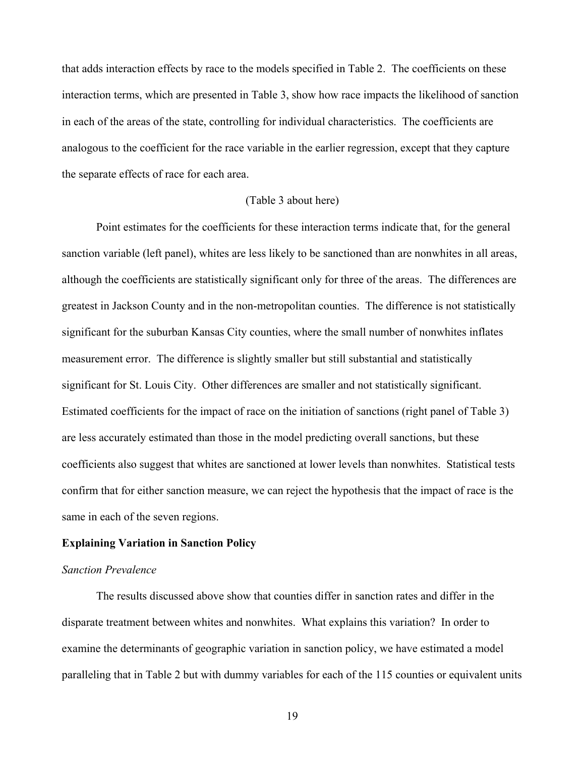that adds interaction effects by race to the models specified in Table 2. The coefficients on these interaction terms, which are presented in Table 3, show how race impacts the likelihood of sanction in each of the areas of the state, controlling for individual characteristics. The coefficients are analogous to the coefficient for the race variable in the earlier regression, except that they capture the separate effects of race for each area.

### (Table 3 about here)

Point estimates for the coefficients for these interaction terms indicate that, for the general sanction variable (left panel), whites are less likely to be sanctioned than are nonwhites in all areas, although the coefficients are statistically significant only for three of the areas. The differences are greatest in Jackson County and in the non-metropolitan counties. The difference is not statistically significant for the suburban Kansas City counties, where the small number of nonwhites inflates measurement error. The difference is slightly smaller but still substantial and statistically significant for St. Louis City. Other differences are smaller and not statistically significant. Estimated coefficients for the impact of race on the initiation of sanctions (right panel of Table 3) are less accurately estimated than those in the model predicting overall sanctions, but these coefficients also suggest that whites are sanctioned at lower levels than nonwhites. Statistical tests confirm that for either sanction measure, we can reject the hypothesis that the impact of race is the same in each of the seven regions.

#### **Explaining Variation in Sanction Policy**

# *Sanction Prevalence*

 The results discussed above show that counties differ in sanction rates and differ in the disparate treatment between whites and nonwhites. What explains this variation? In order to examine the determinants of geographic variation in sanction policy, we have estimated a model paralleling that in Table 2 but with dummy variables for each of the 115 counties or equivalent units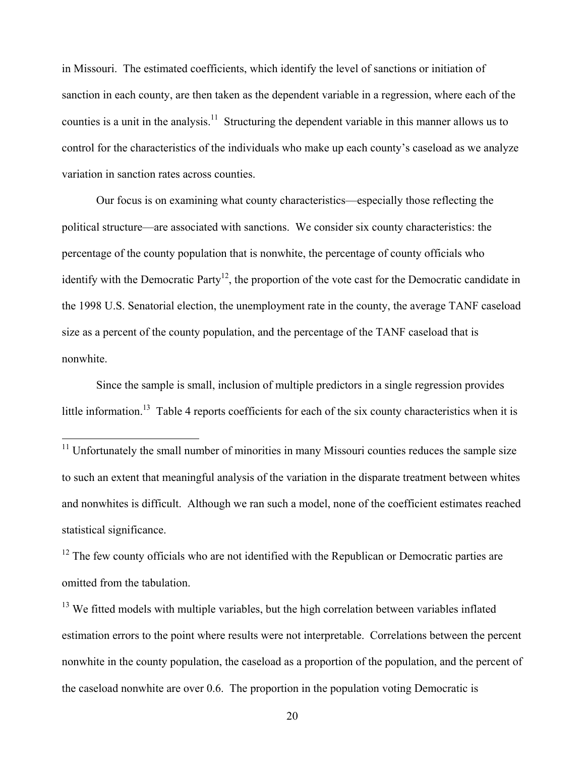in Missouri. The estimated coefficients, which identify the level of sanctions or initiation of sanction in each county, are then taken as the dependent variable in a regression, where each of the counties is a unit in the analysis.<sup>11</sup> Structuring the dependent variable in this manner allows us to control for the characteristics of the individuals who make up each county's caseload as we analyze variation in sanction rates across counties.

Our focus is on examining what county characteristics—especially those reflecting the political structure—are associated with sanctions. We consider six county characteristics: the percentage of the county population that is nonwhite, the percentage of county officials who identify with the Democratic Party<sup>12</sup>, the proportion of the vote cast for the Democratic candidate in the 1998 U.S. Senatorial election, the unemployment rate in the county, the average TANF caseload size as a percent of the county population, and the percentage of the TANF caseload that is nonwhite.

 Since the sample is small, inclusion of multiple predictors in a single regression provides little information.<sup>13</sup> Table 4 reports coefficients for each of the six county characteristics when it is

 $\overline{a}$ 

 $11$  Unfortunately the small number of minorities in many Missouri counties reduces the sample size to such an extent that meaningful analysis of the variation in the disparate treatment between whites and nonwhites is difficult. Although we ran such a model, none of the coefficient estimates reached statistical significance.

 $12$  The few county officials who are not identified with the Republican or Democratic parties are omitted from the tabulation.

<sup>&</sup>lt;sup>13</sup> We fitted models with multiple variables, but the high correlation between variables inflated estimation errors to the point where results were not interpretable. Correlations between the percent nonwhite in the county population, the caseload as a proportion of the population, and the percent of the caseload nonwhite are over 0.6. The proportion in the population voting Democratic is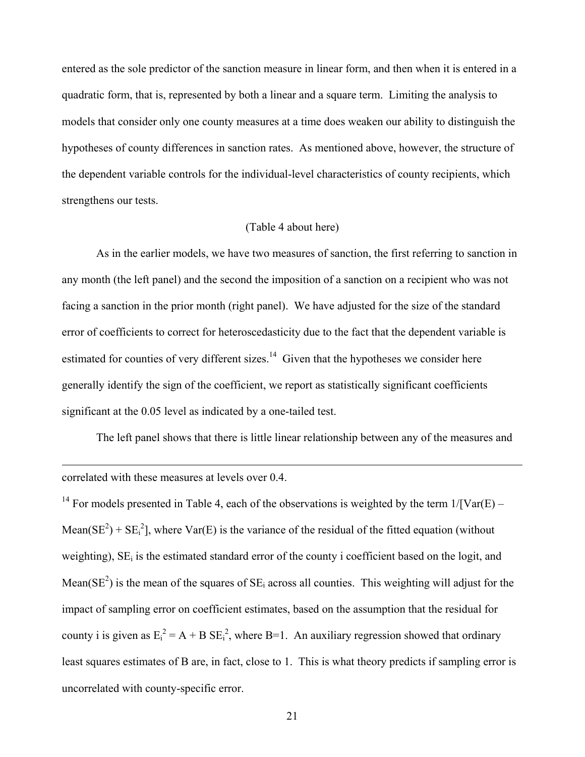entered as the sole predictor of the sanction measure in linear form, and then when it is entered in a quadratic form, that is, represented by both a linear and a square term. Limiting the analysis to models that consider only one county measures at a time does weaken our ability to distinguish the hypotheses of county differences in sanction rates. As mentioned above, however, the structure of the dependent variable controls for the individual-level characteristics of county recipients, which strengthens our tests.

### (Table 4 about here)

As in the earlier models, we have two measures of sanction, the first referring to sanction in any month (the left panel) and the second the imposition of a sanction on a recipient who was not facing a sanction in the prior month (right panel). We have adjusted for the size of the standard error of coefficients to correct for heteroscedasticity due to the fact that the dependent variable is estimated for counties of very different sizes.<sup>14</sup> Given that the hypotheses we consider here generally identify the sign of the coefficient, we report as statistically significant coefficients significant at the 0.05 level as indicated by a one-tailed test.

The left panel shows that there is little linear relationship between any of the measures and

correlated with these measures at levels over 0.4.

1

<sup>14</sup> For models presented in Table 4, each of the observations is weighted by the term  $1/[Var(E) -$ Mean( $SE^2$ ) +  $SE^2$ ], where Var(E) is the variance of the residual of the fitted equation (without weighting),  $SE_i$  is the estimated standard error of the county i coefficient based on the logit, and Mean( $SE<sup>2</sup>$ ) is the mean of the squares of  $SE<sub>i</sub>$  across all counties. This weighting will adjust for the impact of sampling error on coefficient estimates, based on the assumption that the residual for county i is given as  $E_i^2 = A + B SE_i^2$ , where B=1. An auxiliary regression showed that ordinary least squares estimates of B are, in fact, close to 1. This is what theory predicts if sampling error is uncorrelated with county-specific error.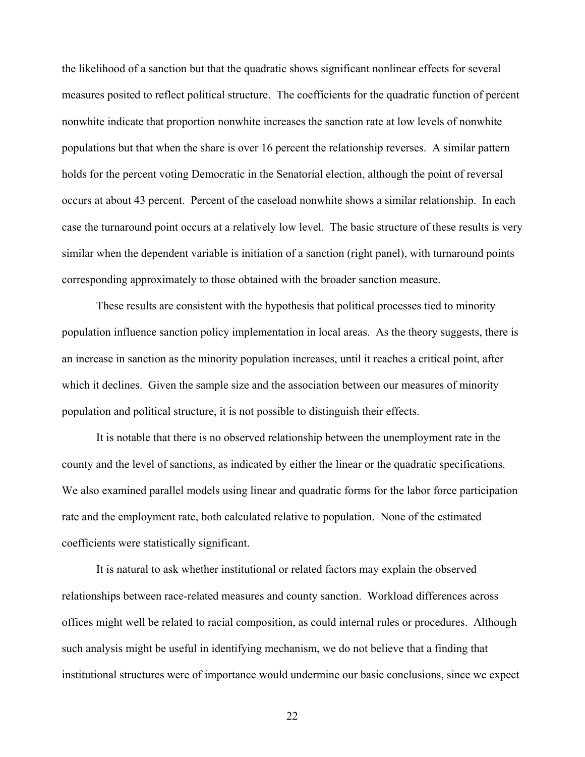the likelihood of a sanction but that the quadratic shows significant nonlinear effects for several measures posited to reflect political structure. The coefficients for the quadratic function of percent nonwhite indicate that proportion nonwhite increases the sanction rate at low levels of nonwhite populations but that when the share is over 16 percent the relationship reverses. A similar pattern holds for the percent voting Democratic in the Senatorial election, although the point of reversal occurs at about 43 percent. Percent of the caseload nonwhite shows a similar relationship. In each case the turnaround point occurs at a relatively low level. The basic structure of these results is very similar when the dependent variable is initiation of a sanction (right panel), with turnaround points corresponding approximately to those obtained with the broader sanction measure.

These results are consistent with the hypothesis that political processes tied to minority population influence sanction policy implementation in local areas. As the theory suggests, there is an increase in sanction as the minority population increases, until it reaches a critical point, after which it declines. Given the sample size and the association between our measures of minority population and political structure, it is not possible to distinguish their effects.

It is notable that there is no observed relationship between the unemployment rate in the county and the level of sanctions, as indicated by either the linear or the quadratic specifications. We also examined parallel models using linear and quadratic forms for the labor force participation rate and the employment rate, both calculated relative to population. None of the estimated coefficients were statistically significant.

 It is natural to ask whether institutional or related factors may explain the observed relationships between race-related measures and county sanction. Workload differences across offices might well be related to racial composition, as could internal rules or procedures. Although such analysis might be useful in identifying mechanism, we do not believe that a finding that institutional structures were of importance would undermine our basic conclusions, since we expect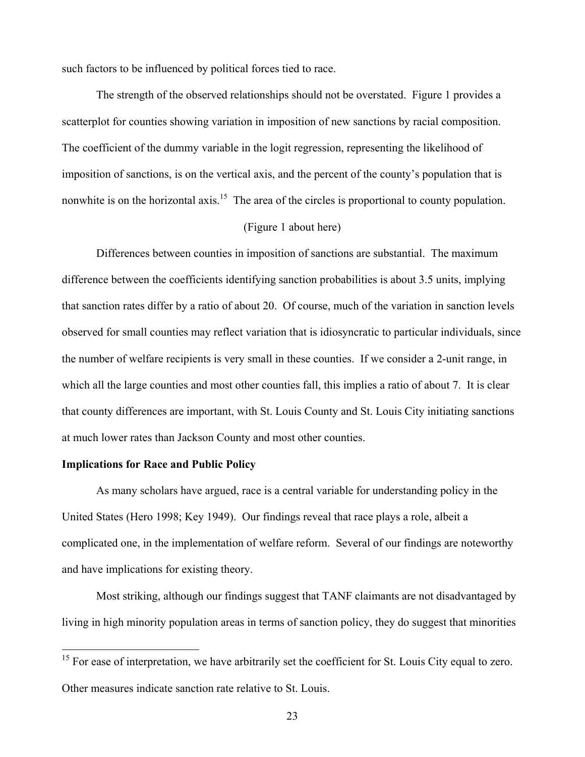such factors to be influenced by political forces tied to race.

The strength of the observed relationships should not be overstated. Figure 1 provides a scatterplot for counties showing variation in imposition of new sanctions by racial composition. The coefficient of the dummy variable in the logit regression, representing the likelihood of imposition of sanctions, is on the vertical axis, and the percent of the county's population that is nonwhite is on the horizontal axis.<sup>15</sup> The area of the circles is proportional to county population.

### (Figure 1 about here)

Differences between counties in imposition of sanctions are substantial. The maximum difference between the coefficients identifying sanction probabilities is about 3.5 units, implying that sanction rates differ by a ratio of about 20. Of course, much of the variation in sanction levels observed for small counties may reflect variation that is idiosyncratic to particular individuals, since the number of welfare recipients is very small in these counties. If we consider a 2-unit range, in which all the large counties and most other counties fall, this implies a ratio of about 7. It is clear that county differences are important, with St. Louis County and St. Louis City initiating sanctions at much lower rates than Jackson County and most other counties.

### **Implications for Race and Public Policy**

 $\overline{a}$ 

As many scholars have argued, race is a central variable for understanding policy in the United States (Hero 1998; Key 1949). Our findings reveal that race plays a role, albeit a complicated one, in the implementation of welfare reform. Several of our findings are noteworthy and have implications for existing theory.

 Most striking, although our findings suggest that TANF claimants are not disadvantaged by living in high minority population areas in terms of sanction policy, they do suggest that minorities

 $15$  For ease of interpretation, we have arbitrarily set the coefficient for St. Louis City equal to zero. Other measures indicate sanction rate relative to St. Louis.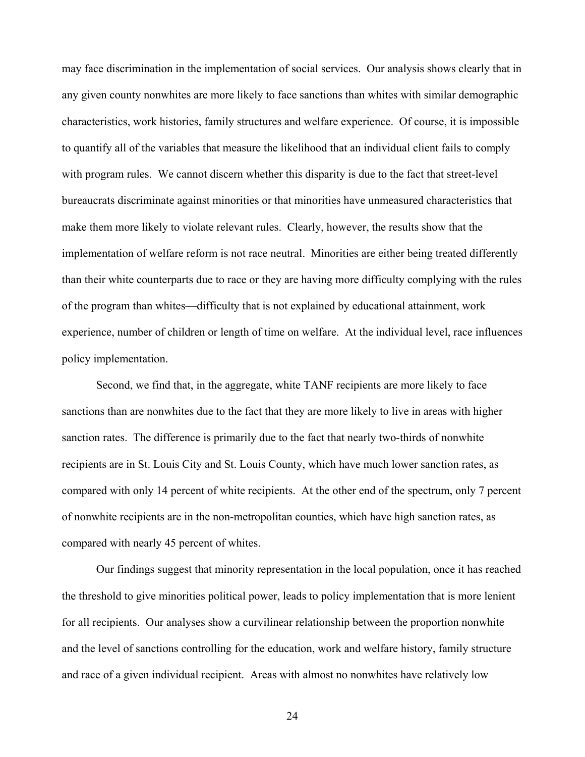may face discrimination in the implementation of social services. Our analysis shows clearly that in any given county nonwhites are more likely to face sanctions than whites with similar demographic characteristics, work histories, family structures and welfare experience. Of course, it is impossible to quantify all of the variables that measure the likelihood that an individual client fails to comply with program rules. We cannot discern whether this disparity is due to the fact that street-level bureaucrats discriminate against minorities or that minorities have unmeasured characteristics that make them more likely to violate relevant rules. Clearly, however, the results show that the implementation of welfare reform is not race neutral. Minorities are either being treated differently than their white counterparts due to race or they are having more difficulty complying with the rules of the program than whites—difficulty that is not explained by educational attainment, work experience, number of children or length of time on welfare. At the individual level, race influences policy implementation.

Second, we find that, in the aggregate, white TANF recipients are more likely to face sanctions than are nonwhites due to the fact that they are more likely to live in areas with higher sanction rates. The difference is primarily due to the fact that nearly two-thirds of nonwhite recipients are in St. Louis City and St. Louis County, which have much lower sanction rates, as compared with only 14 percent of white recipients. At the other end of the spectrum, only 7 percent of nonwhite recipients are in the non-metropolitan counties, which have high sanction rates, as compared with nearly 45 percent of whites.

Our findings suggest that minority representation in the local population, once it has reached the threshold to give minorities political power, leads to policy implementation that is more lenient for all recipients. Our analyses show a curvilinear relationship between the proportion nonwhite and the level of sanctions controlling for the education, work and welfare history, family structure and race of a given individual recipient. Areas with almost no nonwhites have relatively low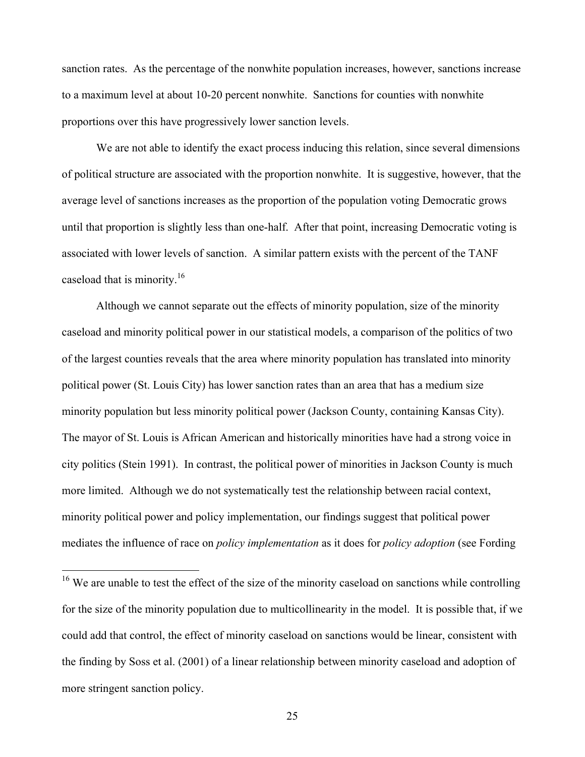sanction rates. As the percentage of the nonwhite population increases, however, sanctions increase to a maximum level at about 10-20 percent nonwhite. Sanctions for counties with nonwhite proportions over this have progressively lower sanction levels.

We are not able to identify the exact process inducing this relation, since several dimensions of political structure are associated with the proportion nonwhite. It is suggestive, however, that the average level of sanctions increases as the proportion of the population voting Democratic grows until that proportion is slightly less than one-half. After that point, increasing Democratic voting is associated with lower levels of sanction. A similar pattern exists with the percent of the TANF caseload that is minority.<sup>16</sup>

Although we cannot separate out the effects of minority population, size of the minority caseload and minority political power in our statistical models, a comparison of the politics of two of the largest counties reveals that the area where minority population has translated into minority political power (St. Louis City) has lower sanction rates than an area that has a medium size minority population but less minority political power (Jackson County, containing Kansas City). The mayor of St. Louis is African American and historically minorities have had a strong voice in city politics (Stein 1991). In contrast, the political power of minorities in Jackson County is much more limited. Although we do not systematically test the relationship between racial context, minority political power and policy implementation, our findings suggest that political power mediates the influence of race on *policy implementation* as it does for *policy adoption* (see Fording

 $\overline{a}$ 

 $16$  We are unable to test the effect of the size of the minority caseload on sanctions while controlling for the size of the minority population due to multicollinearity in the model. It is possible that, if we could add that control, the effect of minority caseload on sanctions would be linear, consistent with the finding by Soss et al. (2001) of a linear relationship between minority caseload and adoption of more stringent sanction policy.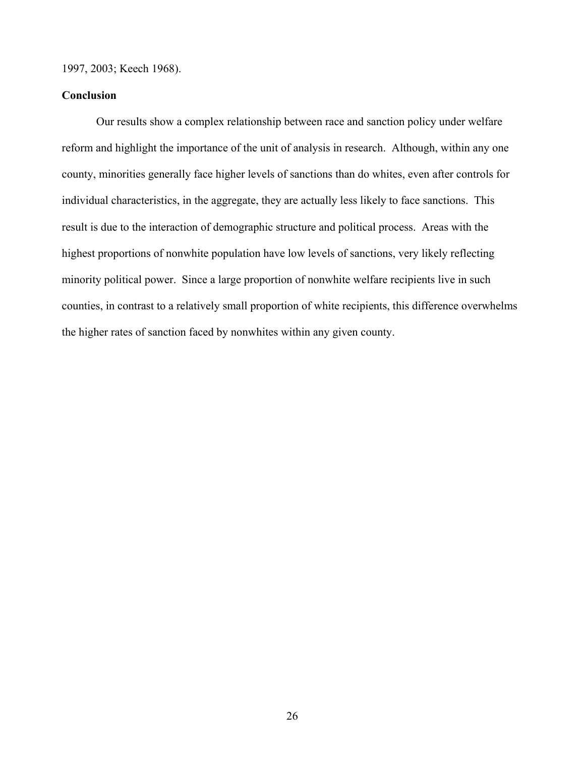1997, 2003; Keech 1968).

# **Conclusion**

Our results show a complex relationship between race and sanction policy under welfare reform and highlight the importance of the unit of analysis in research. Although, within any one county, minorities generally face higher levels of sanctions than do whites, even after controls for individual characteristics, in the aggregate, they are actually less likely to face sanctions. This result is due to the interaction of demographic structure and political process. Areas with the highest proportions of nonwhite population have low levels of sanctions, very likely reflecting minority political power. Since a large proportion of nonwhite welfare recipients live in such counties, in contrast to a relatively small proportion of white recipients, this difference overwhelms the higher rates of sanction faced by nonwhites within any given county.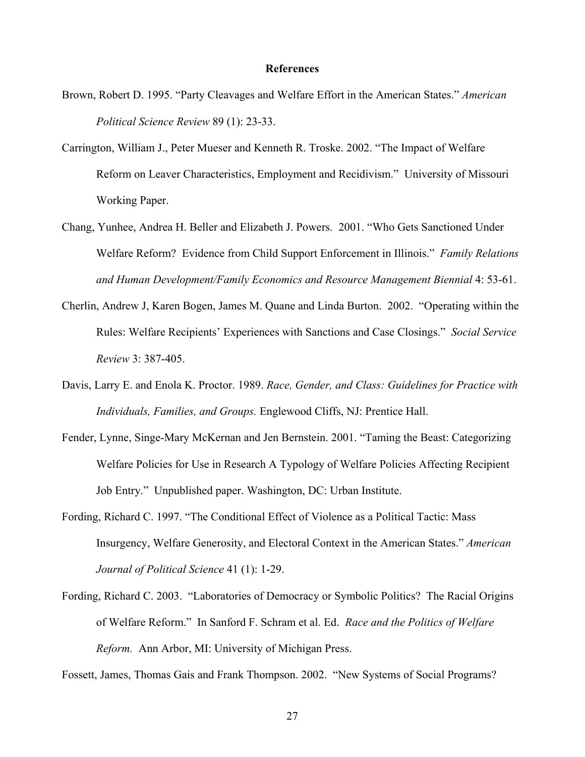#### **References**

- Brown, Robert D. 1995. "Party Cleavages and Welfare Effort in the American States." *American Political Science Review* 89 (1): 23-33.
- Carrington, William J., Peter Mueser and Kenneth R. Troske. 2002. "The Impact of Welfare Reform on Leaver Characteristics, Employment and Recidivism." University of Missouri Working Paper.
- Chang, Yunhee, Andrea H. Beller and Elizabeth J. Powers. 2001. "Who Gets Sanctioned Under Welfare Reform? Evidence from Child Support Enforcement in Illinois." *Family Relations and Human Development/Family Economics and Resource Management Biennial* 4: 53-61.
- Cherlin, Andrew J, Karen Bogen, James M. Quane and Linda Burton. 2002. "Operating within the Rules: Welfare Recipients' Experiences with Sanctions and Case Closings." *Social Service Review* 3: 387-405.
- Davis, Larry E. and Enola K. Proctor. 1989. *Race, Gender, and Class: Guidelines for Practice with Individuals, Families, and Groups.* Englewood Cliffs, NJ: Prentice Hall.
- Fender, Lynne, Singe-Mary McKernan and Jen Bernstein. 2001. "Taming the Beast: Categorizing Welfare Policies for Use in Research A Typology of Welfare Policies Affecting Recipient Job Entry." Unpublished paper. Washington, DC: Urban Institute.
- Fording, Richard C. 1997. "The Conditional Effect of Violence as a Political Tactic: Mass Insurgency, Welfare Generosity, and Electoral Context in the American States." *American Journal of Political Science* 41 (1): 1-29.
- Fording, Richard C. 2003. "Laboratories of Democracy or Symbolic Politics? The Racial Origins of Welfare Reform." In Sanford F. Schram et al. Ed. *Race and the Politics of Welfare Reform.* Ann Arbor, MI: University of Michigan Press.

Fossett, James, Thomas Gais and Frank Thompson. 2002. "New Systems of Social Programs?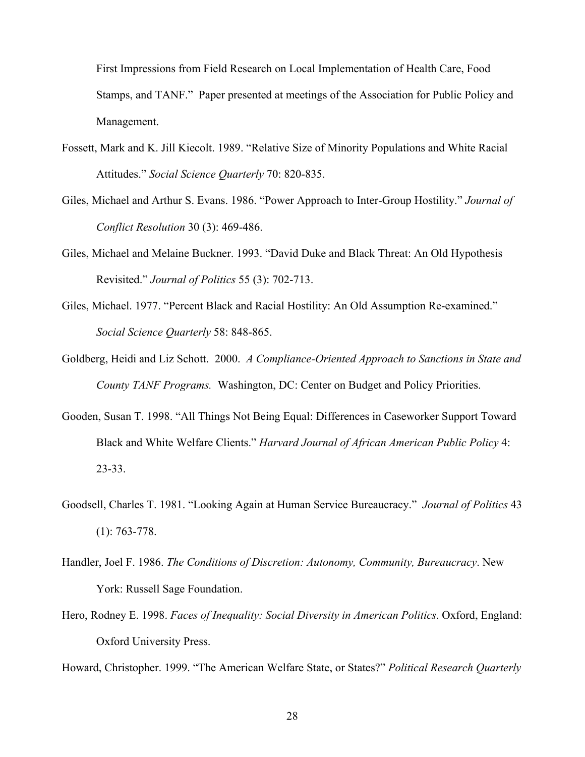First Impressions from Field Research on Local Implementation of Health Care, Food Stamps, and TANF." Paper presented at meetings of the Association for Public Policy and Management.

- Fossett, Mark and K. Jill Kiecolt. 1989. "Relative Size of Minority Populations and White Racial Attitudes." *Social Science Quarterly* 70: 820-835.
- Giles, Michael and Arthur S. Evans. 1986. "Power Approach to Inter-Group Hostility." *Journal of Conflict Resolution* 30 (3): 469-486.
- Giles, Michael and Melaine Buckner. 1993. "David Duke and Black Threat: An Old Hypothesis Revisited." *Journal of Politics* 55 (3): 702-713.
- Giles, Michael. 1977. "Percent Black and Racial Hostility: An Old Assumption Re-examined." *Social Science Quarterly* 58: 848-865.
- Goldberg, Heidi and Liz Schott. 2000. *A Compliance-Oriented Approach to Sanctions in State and County TANF Programs.* Washington, DC: Center on Budget and Policy Priorities.
- Gooden, Susan T. 1998. "All Things Not Being Equal: Differences in Caseworker Support Toward Black and White Welfare Clients." *Harvard Journal of African American Public Policy* 4: 23-33.
- Goodsell, Charles T. 1981. "Looking Again at Human Service Bureaucracy." *Journal of Politics* 43 (1): 763-778.
- Handler, Joel F. 1986. *The Conditions of Discretion: Autonomy, Community, Bureaucracy*. New York: Russell Sage Foundation.
- Hero, Rodney E. 1998. *Faces of Inequality: Social Diversity in American Politics*. Oxford, England: Oxford University Press.

Howard, Christopher. 1999. "The American Welfare State, or States?" *Political Research Quarterly*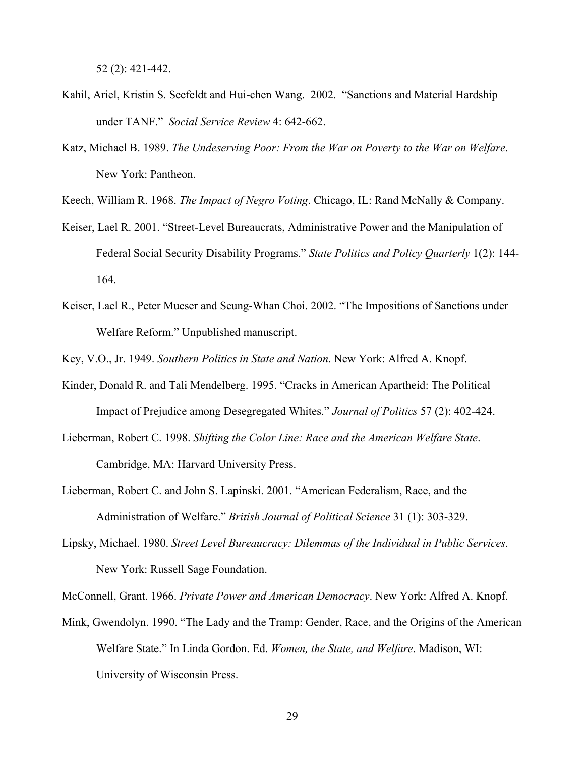52 (2): 421-442.

- Kahil, Ariel, Kristin S. Seefeldt and Hui-chen Wang. 2002. "Sanctions and Material Hardship under TANF." *Social Service Review* 4: 642-662.
- Katz, Michael B. 1989. *The Undeserving Poor: From the War on Poverty to the War on Welfare*. New York: Pantheon.

Keech, William R. 1968. *The Impact of Negro Voting*. Chicago, IL: Rand McNally & Company.

- Keiser, Lael R. 2001. "Street-Level Bureaucrats, Administrative Power and the Manipulation of Federal Social Security Disability Programs." *State Politics and Policy Quarterly* 1(2): 144- 164.
- Keiser, Lael R., Peter Mueser and Seung-Whan Choi. 2002. "The Impositions of Sanctions under Welfare Reform." Unpublished manuscript.

Key, V.O., Jr. 1949. *Southern Politics in State and Nation*. New York: Alfred A. Knopf.

- Kinder, Donald R. and Tali Mendelberg. 1995. "Cracks in American Apartheid: The Political Impact of Prejudice among Desegregated Whites." *Journal of Politics* 57 (2): 402-424.
- Lieberman, Robert C. 1998. *Shifting the Color Line: Race and the American Welfare State*. Cambridge, MA: Harvard University Press.
- Lieberman, Robert C. and John S. Lapinski. 2001. "American Federalism, Race, and the Administration of Welfare." *British Journal of Political Science* 31 (1): 303-329.
- Lipsky, Michael. 1980. *Street Level Bureaucracy: Dilemmas of the Individual in Public Services*. New York: Russell Sage Foundation.

McConnell, Grant. 1966. *Private Power and American Democracy*. New York: Alfred A. Knopf.

Mink, Gwendolyn. 1990. "The Lady and the Tramp: Gender, Race, and the Origins of the American Welfare State." In Linda Gordon. Ed. *Women, the State, and Welfare*. Madison, WI: University of Wisconsin Press.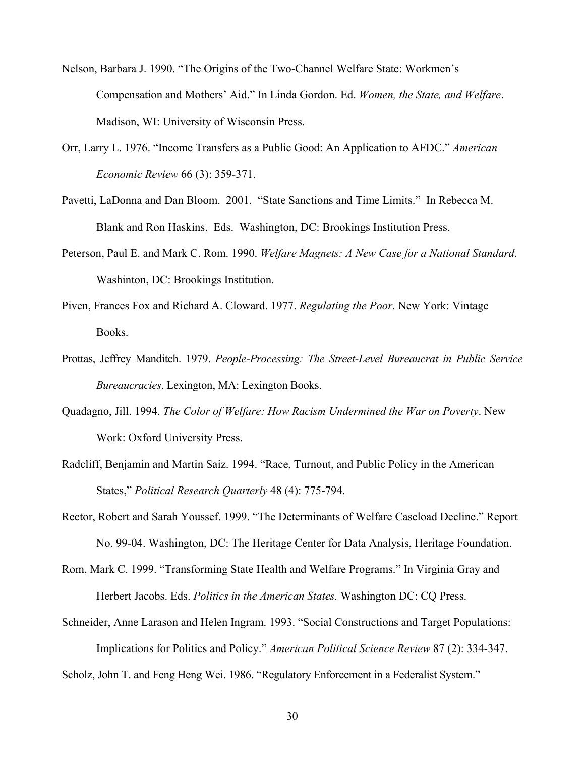- Nelson, Barbara J. 1990. "The Origins of the Two-Channel Welfare State: Workmen's Compensation and Mothers' Aid." In Linda Gordon. Ed. *Women, the State, and Welfare*. Madison, WI: University of Wisconsin Press.
- Orr, Larry L. 1976. "Income Transfers as a Public Good: An Application to AFDC." *American Economic Review* 66 (3): 359-371.
- Pavetti, LaDonna and Dan Bloom. 2001. "State Sanctions and Time Limits." In Rebecca M. Blank and Ron Haskins. Eds. Washington, DC: Brookings Institution Press.
- Peterson, Paul E. and Mark C. Rom. 1990. *Welfare Magnets: A New Case for a National Standard*. Washinton, DC: Brookings Institution.
- Piven, Frances Fox and Richard A. Cloward. 1977. *Regulating the Poor*. New York: Vintage Books.
- Prottas, Jeffrey Manditch. 1979. *People-Processing: The Street-Level Bureaucrat in Public Service Bureaucracies*. Lexington, MA: Lexington Books.
- Quadagno, Jill. 1994. *The Color of Welfare: How Racism Undermined the War on Poverty*. New Work: Oxford University Press.
- Radcliff, Benjamin and Martin Saiz. 1994. "Race, Turnout, and Public Policy in the American States," *Political Research Quarterly* 48 (4): 775-794.
- Rector, Robert and Sarah Youssef. 1999. "The Determinants of Welfare Caseload Decline." Report No. 99-04. Washington, DC: The Heritage Center for Data Analysis, Heritage Foundation.
- Rom, Mark C. 1999. "Transforming State Health and Welfare Programs." In Virginia Gray and Herbert Jacobs. Eds. *Politics in the American States.* Washington DC: CQ Press.
- Schneider, Anne Larason and Helen Ingram. 1993. "Social Constructions and Target Populations: Implications for Politics and Policy." *American Political Science Review* 87 (2): 334-347.

Scholz, John T. and Feng Heng Wei. 1986. "Regulatory Enforcement in a Federalist System."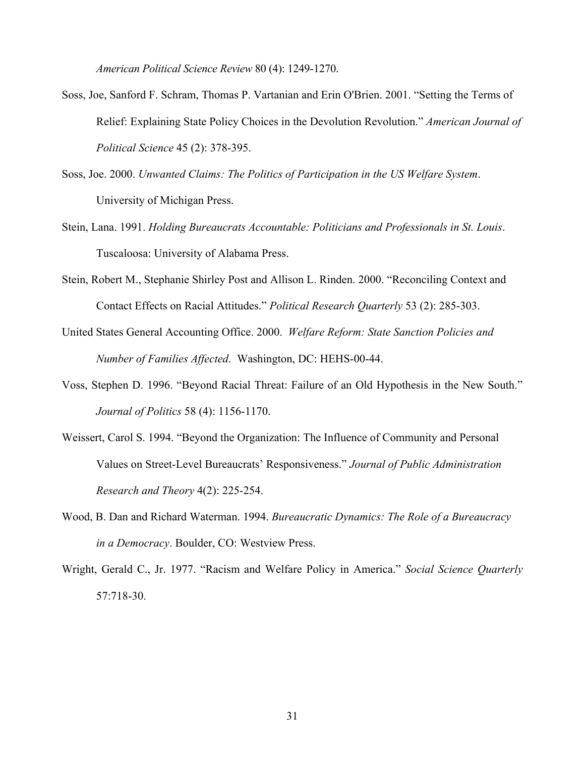*American Political Science Review* 80 (4): 1249-1270.

- Soss, Joe, Sanford F. Schram, Thomas P. Vartanian and Erin O'Brien. 2001. "Setting the Terms of Relief: Explaining State Policy Choices in the Devolution Revolution." *American Journal of Political Science* 45 (2): 378-395.
- Soss, Joe. 2000. *Unwanted Claims: The Politics of Participation in the US Welfare System*. University of Michigan Press.
- Stein, Lana. 1991. *Holding Bureaucrats Accountable: Politicians and Professionals in St. Louis*. Tuscaloosa: University of Alabama Press.
- Stein, Robert M., Stephanie Shirley Post and Allison L. Rinden. 2000. "Reconciling Context and Contact Effects on Racial Attitudes." *Political Research Quarterly* 53 (2): 285-303.
- United States General Accounting Office. 2000. *Welfare Reform: State Sanction Policies and Number of Families Affected*. Washington, DC: HEHS-00-44.
- Voss, Stephen D. 1996. "Beyond Racial Threat: Failure of an Old Hypothesis in the New South." *Journal of Politics* 58 (4): 1156-1170.
- Weissert, Carol S. 1994. "Beyond the Organization: The Influence of Community and Personal Values on Street-Level Bureaucrats' Responsiveness." *Journal of Public Administration Research and Theory* 4(2): 225-254.
- Wood, B. Dan and Richard Waterman. 1994. *Bureaucratic Dynamics: The Role of a Bureaucracy in a Democracy*. Boulder, CO: Westview Press.
- Wright, Gerald C., Jr. 1977. "Racism and Welfare Policy in America." *Social Science Quarterly* 57:718-30.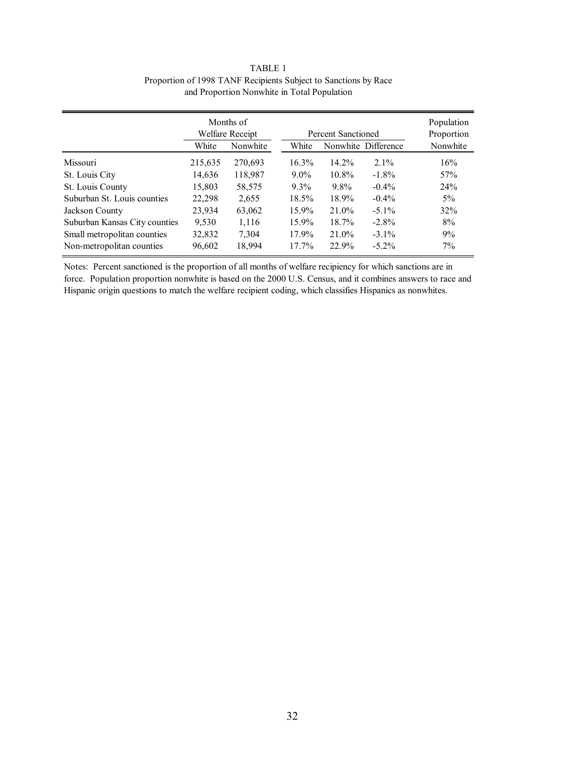|                             |                              | and Proportion Nonwhite in Total Population |                    |                     |          |                          |  |
|-----------------------------|------------------------------|---------------------------------------------|--------------------|---------------------|----------|--------------------------|--|
|                             | Months of<br>Welfare Receipt |                                             | Percent Sanctioned |                     |          | Population<br>Proportion |  |
|                             | White                        | Nonwhite                                    | White              | Nonwhite Difference |          | Nonwhite                 |  |
| Missouri                    | 215,635                      | 270,693                                     | $16.3\%$           | 14.2%               | $2.1\%$  | 16%                      |  |
| St. Louis City              | 14,636                       | 118,987                                     | $9.0\%$            | 10.8%               | $-1.8\%$ | 57%                      |  |
| St. Louis County            | 15,803                       | 58,575                                      | $9.3\%$            | 9.8%                | $-0.4\%$ | 24%                      |  |
| Suburban St. Louis counties | 22,298                       | 2,655                                       | 18.5%              | 18.9%               | $-0.4\%$ | $5\%$                    |  |

Jackson County 23,934 63,062 15.9% 21.0% -5.1% 32% Suburban Kansas City counties 9,530 1,116 15.9% 18.7% -2.8% 8% Small metropolitan counties 32,832 7,304 17.9% 21.0% -3.1% 9% Non-metropolitan counties 96,602 18,994 17.7% 22.9% -5.2% 7%

TABLE 1 Proportion of 1998 TANF Recipients Subject to Sanctions by Race

Notes: Percent sanctioned is the proportion of all months of welfare recipiency for which sanctions are in force. Population proportion nonwhite is based on the 2000 U.S. Census, and it combines answers to race and Hispanic origin questions to match the welfare recipient coding, which classifies Hispanics as nonwhites.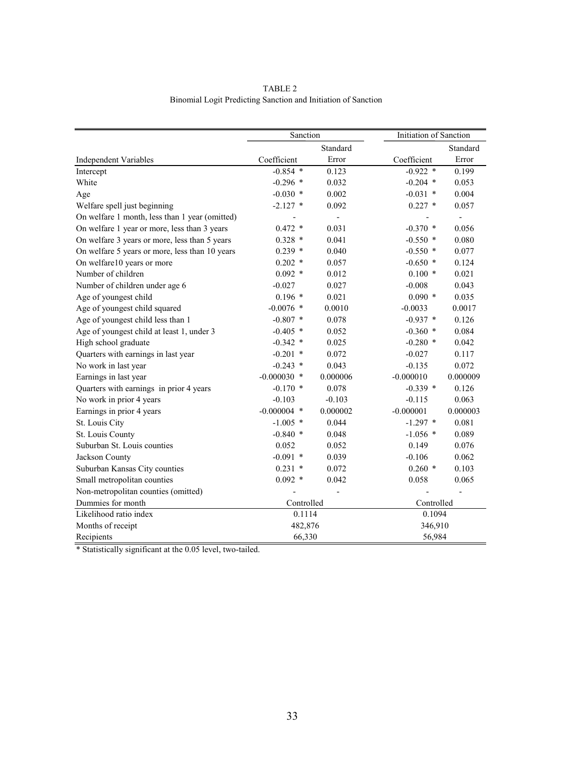TABLE 2 Binomial Logit Predicting Sanction and Initiation of Sanction

|                                                | Sanction      |                          | Initiation of Sanction |                          |  |
|------------------------------------------------|---------------|--------------------------|------------------------|--------------------------|--|
|                                                |               | Standard                 |                        | Standard                 |  |
| <b>Independent Variables</b>                   | Coefficient   | Error                    | Coefficient            | Error                    |  |
| Intercept                                      | $-0.854$ *    | 0.123                    | $-0.922$ *             | 0.199                    |  |
| White                                          | $-0.296$ *    | 0.032                    | $-0.204$ *             | 0.053                    |  |
| Age                                            | $-0.030$ *    | 0.002                    | $-0.031$ *             | 0.004                    |  |
| Welfare spell just beginning                   | $-2.127$ *    | 0.092                    | $0.227$ *              | 0.057                    |  |
| On welfare 1 month, less than 1 year (omitted) |               | $\overline{\phantom{a}}$ | ٠                      | $\overline{\phantom{a}}$ |  |
| On welfare 1 year or more, less than 3 years   | $0.472*$      | 0.031                    | $-0.370*$              | 0.056                    |  |
| On welfare 3 years or more, less than 5 years  | $0.328*$      | 0.041                    | $-0.550$ *             | 0.080                    |  |
| On welfare 5 years or more, less than 10 years | $0.239*$      | 0.040                    | $-0.550$ *             | 0.077                    |  |
| On welfare10 years or more                     | $0.202$ *     | 0.057                    | $-0.650$ *             | 0.124                    |  |
| Number of children                             | $0.092$ *     | 0.012                    | $0.100*$               | 0.021                    |  |
| Number of children under age 6                 | $-0.027$      | 0.027                    | $-0.008$               | 0.043                    |  |
| Age of youngest child                          | $0.196*$      | 0.021                    | $0.090*$               | 0.035                    |  |
| Age of youngest child squared                  | $-0.0076$ *   | 0.0010                   | $-0.0033$              | 0.0017                   |  |
| Age of youngest child less than 1              | $-0.807$ *    | 0.078                    | $-0.937$ *             | 0.126                    |  |
| Age of youngest child at least 1, under 3      | $-0.405$ *    | 0.052                    | $-0.360$ *             | 0.084                    |  |
| High school graduate                           | $-0.342$ *    | 0.025                    | $-0.280$ *             | 0.042                    |  |
| Quarters with earnings in last year            | $-0.201$ *    | 0.072                    | $-0.027$               | 0.117                    |  |
| No work in last year                           | $-0.243$ *    | 0.043                    | $-0.135$               | 0.072                    |  |
| Earnings in last year                          | $-0.000030$ * | 0.000006                 | $-0.000010$            | 0.000009                 |  |
| Quarters with earnings in prior 4 years        | $-0.170$ *    | 0.078                    | $-0.339$ *             | 0.126                    |  |
| No work in prior 4 years                       | $-0.103$      | $-0.103$                 | $-0.115$               | 0.063                    |  |
| Earnings in prior 4 years                      | $-0.000004$ * | 0.000002                 | $-0.000001$            | 0.000003                 |  |
| St. Louis City                                 | $-1.005$ *    | 0.044                    | $-1.297$ *             | 0.081                    |  |
| St. Louis County                               | $-0.840$ *    | 0.048                    | $-1.056$ *             | 0.089                    |  |
| Suburban St. Louis counties                    | 0.052         | 0.052                    | 0.149                  | 0.076                    |  |
| Jackson County                                 | $-0.091$ *    | 0.039                    | $-0.106$               | 0.062                    |  |
| Suburban Kansas City counties                  | $0.231$ *     | 0.072                    | $0.260*$               | 0.103                    |  |
| Small metropolitan counties                    | $0.092$ *     | 0.042                    | 0.058                  | 0.065                    |  |
| Non-metropolitan counties (omitted)            |               |                          | $\frac{1}{2}$          |                          |  |
| Dummies for month                              | Controlled    |                          | Controlled             |                          |  |
| Likelihood ratio index                         | 0.1114        |                          | 0.1094                 |                          |  |
| Months of receipt                              | 482,876       |                          |                        | 346,910                  |  |
| Recipients                                     | 66,330        |                          | 56,984                 |                          |  |

\* Statistically significant at the 0.05 level, two-tailed.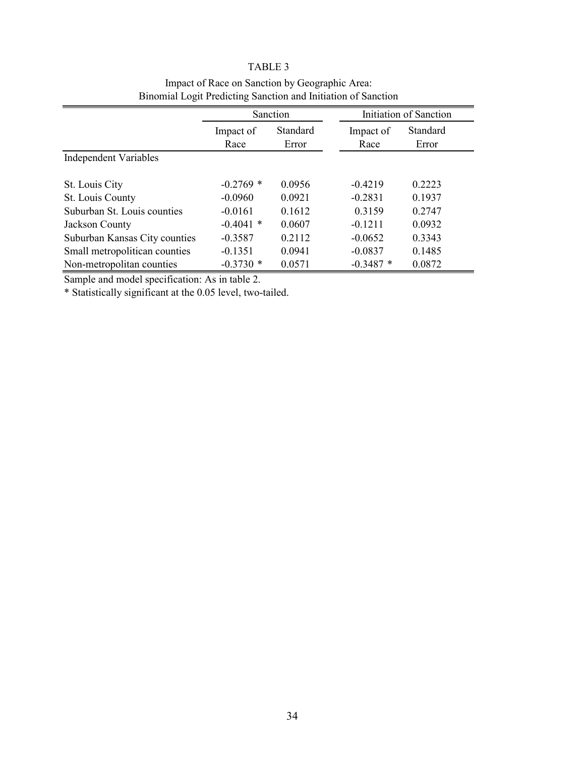## TABLE 3

|                               |                                        | Sanction |                   | Initiation of Sanction |  |  |
|-------------------------------|----------------------------------------|----------|-------------------|------------------------|--|--|
|                               | Standard<br>Impact of<br>Race<br>Error |          | Impact of<br>Race | Standard<br>Error      |  |  |
| <b>Independent Variables</b>  |                                        |          |                   |                        |  |  |
| St. Louis City                | $-0.2769$ *                            | 0.0956   | $-0.4219$         | 0.2223                 |  |  |
| St. Louis County              | $-0.0960$                              | 0.0921   | $-0.2831$         | 0.1937                 |  |  |
| Suburban St. Louis counties   | $-0.0161$                              | 0.1612   | 0 3 1 5 9         | 0.2747                 |  |  |
| Jackson County                | $-0.4041$ *                            | 0.0607   | $-0.1211$         | 0.0932                 |  |  |
| Suburban Kansas City counties | $-0.3587$                              | 0.2112   | $-0.0652$         | 0.3343                 |  |  |
| Small metropolitican counties | $-0.1351$                              | 0.0941   | $-0.0837$         | 0.1485                 |  |  |
| Non-metropolitan counties     | $-0.3730*$                             | 0.0571   | $-0.3487$ *       | 0.0872                 |  |  |

# Impact of Race on Sanction by Geographic Area: Binomial Logit Predicting Sanction and Initiation of Sanction

Sample and model specification: As in table 2.

\* Statistically significant at the 0.05 level, two-tailed.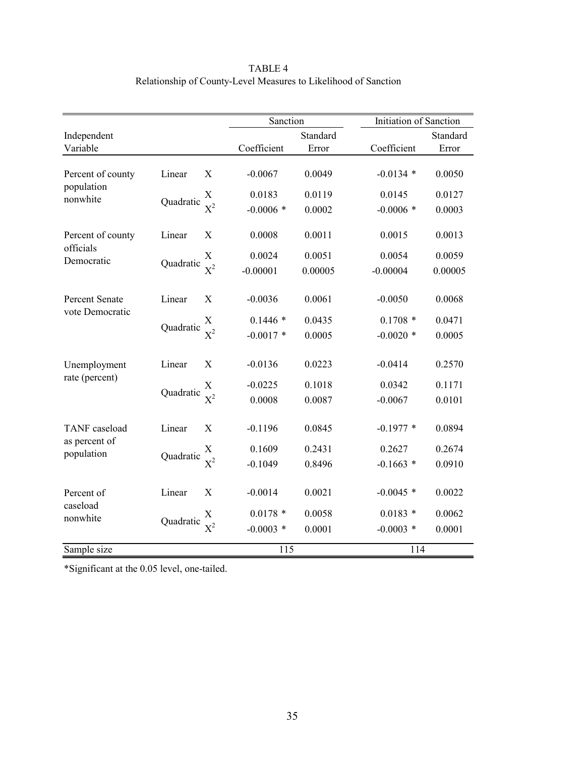|                                              |           | Sanction    |             |          | Initiation of Sanction |          |
|----------------------------------------------|-----------|-------------|-------------|----------|------------------------|----------|
| Independent                                  |           |             |             | Standard |                        | Standard |
| Variable                                     |           |             | Coefficient | Error    | Coefficient            | Error    |
| Percent of county<br>population<br>nonwhite  | Linear    | X           | $-0.0067$   | 0.0049   | $-0.0134$ *            | 0.0050   |
|                                              |           | X           | 0.0183      | 0.0119   | 0.0145                 | 0.0127   |
|                                              | Quadratic | $X^2$       | $-0.0006$ * | 0.0002   | $-0.0006$ *            | 0.0003   |
| Percent of county<br>officials<br>Democratic | Linear    | X           | 0.0008      | 0.0011   | 0.0015                 | 0.0013   |
|                                              |           | Χ           | 0.0024      | 0.0051   | 0.0054                 | 0.0059   |
|                                              | Quadratic | $X^2$       | $-0.00001$  | 0.00005  | $-0.00004$             | 0.00005  |
| Percent Senate<br>vote Democratic            | Linear    | X           | $-0.0036$   | 0.0061   | $-0.0050$              | 0.0068   |
|                                              |           | X           | $0.1446*$   | 0.0435   | $0.1708*$              | 0.0471   |
|                                              | Quadratic | $X^2$       | $-0.0017$ * | 0.0005   | $-0.0020$ *            | 0.0005   |
| Unemployment<br>rate (percent)               | Linear    | X           | $-0.0136$   | 0.0223   | $-0.0414$              | 0.2570   |
|                                              | Quadratic | X           | $-0.0225$   | 0.1018   | 0.0342                 | 0.1171   |
|                                              |           | $X^2$       | 0.0008      | 0.0087   | $-0.0067$              | 0.0101   |
| TANF caseload<br>as percent of<br>population | Linear    | X           | $-0.1196$   | 0.0845   | $-0.1977*$             | 0.0894   |
|                                              | Quadratic | Χ           | 0.1609      | 0.2431   | 0.2627                 | 0.2674   |
|                                              |           | $X^2$       | $-0.1049$   | 0.8496   | $-0.1663$ *            | 0.0910   |
| Percent of<br>caseload<br>nonwhite           | Linear    | $\mathbf X$ | $-0.0014$   | 0.0021   | $-0.0045$ *            | 0.0022   |
|                                              | Quadratic | X           | $0.0178*$   | 0.0058   | $0.0183$ *             | 0.0062   |
|                                              |           | $X^2$       | $-0.0003$ * | 0.0001   | $-0.0003$ *            | 0.0001   |
| Sample size                                  |           |             | 115         |          | 114                    |          |

TABLE 4 Relationship of County-Level Measures to Likelihood of Sanction

\*Significant at the 0.05 level, one-tailed.